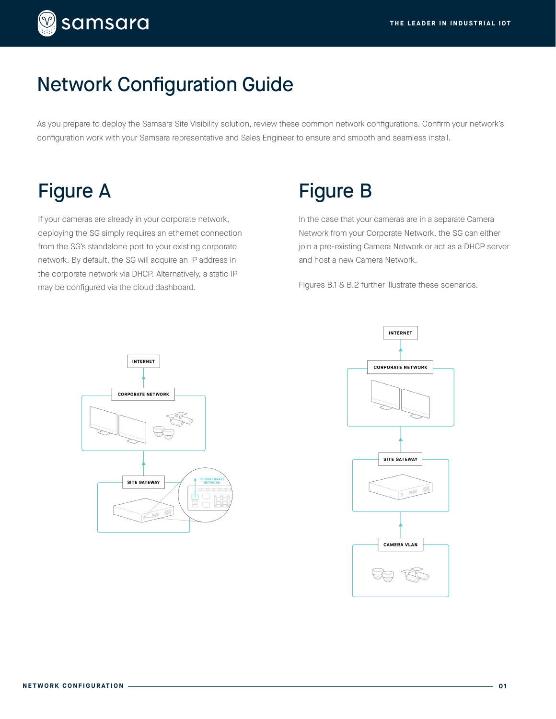

### Network Configuration Guide

As you prepare to deploy the Samsara Site Visibility solution, review these common network configurations. Confirm your network's configuration work with your Samsara representative and Sales Engineer to ensure and smooth and seamless install.

# Figure A

If your cameras are already in your corporate network, deploying the SG simply requires an ethernet connection from the SG's standalone port to your existing corporate network. By default, the SG will acquire an IP address in the corporate network via DHCP. Alternatively, a static IP may be configured via the cloud dashboard.

## Figure B

In the case that your cameras are in a separate Camera Network from your Corporate Network, the SG can either join a pre-existing Camera Network or act as a DHCP server and host a new Camera Network.

Figures B.1 & B.2 further illustrate these scenarios.